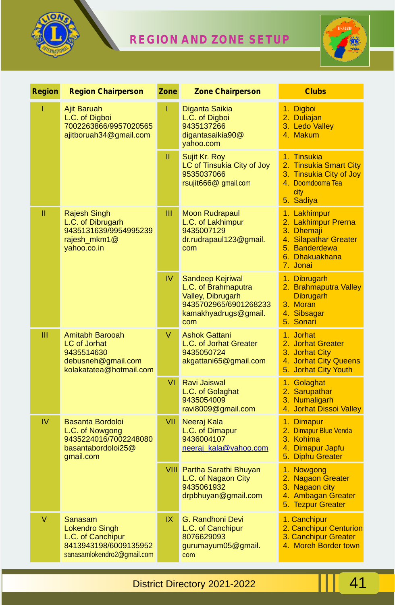

## **REGION AND ZONE SETUP**



| <b>Region</b> | <b>Region Chairperson</b>                                                                                    | Zone | <b>Zone Chairperson</b>                                                                                              | <b>Clubs</b>                                                                                                              |
|---------------|--------------------------------------------------------------------------------------------------------------|------|----------------------------------------------------------------------------------------------------------------------|---------------------------------------------------------------------------------------------------------------------------|
| T             | Ajit Baruah<br>L.C. of Digboi<br>7002263866/9957020565<br>ajitboruah34@gmail.com                             | I    | Diganta Saikia<br>L.C. of Digboi<br>9435137266<br>digantasaikia90@<br>yahoo.com                                      | 1. Digboi<br>2. Duliajan<br>3. Ledo Valley<br>4. Makum                                                                    |
|               |                                                                                                              | Ш    | Sujit Kr. Roy<br>LC of Tinsukia City of Joy<br>9535037066<br>rsujit666@ qmail.com                                    | 1. Tinsukia<br>2. Tinsukia Smart City<br>3. Tinsukia City of Joy<br>4. Doomdooma Tea<br>city<br>5. Sadiya                 |
| Ш             | Rajesh Singh<br>L.C. of Dibrugarh<br>9435131639/9954995239<br>rajesh_mkm1@<br>yahoo.co.in                    | Ш    | <b>Moon Rudrapaul</b><br>L.C. of Lakhimpur<br>9435007129<br>dr.rudrapaul123@gmail.<br>com                            | 1. Lakhimpur<br>2. Lakhimpur Prerna<br>3. Dhemaji<br>4. Silapathar Greater<br>5. Banderdewa<br>6. Dhakuakhana<br>7. Jonai |
|               |                                                                                                              | IV.  | Sandeep Kejriwal<br>L.C. of Brahmaputra<br>Valley, Dibrugarh<br>9435702965/6901268233<br>kamakhyadrugs@gmail.<br>com | 1. Dibrugarh<br>2. Brahmaputra Valley<br><b>Dibrugarh</b><br>3. Moran<br>4. Sibsagar<br>5. Sonari                         |
| Ш             | Amitabh Barooah<br><b>LC</b> of Jorhat<br>9435514630<br>debusneh@gmail.com<br>kolakatatea@hotmail.com        | V    | <b>Ashok Gattani</b><br>L.C. of Jorhat Greater<br>9435050724<br>akgattani65@gmail.com                                | 1. Jorhat<br>2. Jorhat Greater<br>3. Jorhat City<br>4. Jorhat City Queens<br>5. Jorhat City Youth                         |
|               |                                                                                                              | VI   | <b>Ravi Jaiswal</b><br>L.C. of Golaghat<br>9435054009<br>ravi8009@gmail.com                                          | 1. Golaghat<br>2. Sarupathar<br>3. Numaligarh<br>4. Jorhat Dissoi Valley                                                  |
| IV            | <b>Basanta Bordoloi</b><br>L.C. of Nowgong<br>9435224016/7002248080<br>basantabordoloi25@<br>gmail.com       | VII  | Neeraj Kala<br>L.C. of Dimapur<br>9436004107<br>neeraj_kala@yahoo.com                                                | 1. Dimapur<br>2. Dimapur Blue Venda<br>3. Kohima<br>4. Dimapur Japfu<br>5. Diphu Greater                                  |
|               |                                                                                                              |      | VIII Partha Sarathi Bhuyan<br>L.C. of Nagaon City<br>9435061932<br>drpbhuyan@gmail.com                               | 1. Nowgong<br>2. Nagaon Greater<br>3. Nagaon city<br>4. Ambagan Greater<br>5. Tezpur Greater                              |
| V             | Sanasam<br><b>Lokendro Singh</b><br>L.C. of Canchipur<br>8413943198/6009135952<br>sanasamlokendro2@gmail.com | IX.  | G. Randhoni Devi<br>L.C. of Canchipur<br>8076629093<br>gurumayum05@gmail.<br>com                                     | 1. Canchipur<br>2. Canchipur Centurion<br>3. Canchipur Greater<br>4. Moreh Border town                                    |